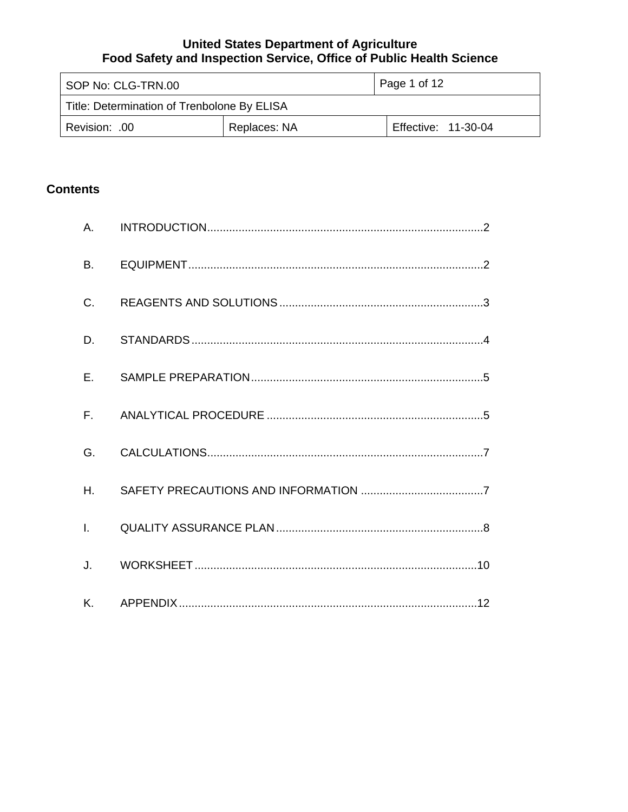| SOP No: CLG-TRN.00                          |              | Page 1 of 12        |
|---------------------------------------------|--------------|---------------------|
| Title: Determination of Trenbolone By ELISA |              |                     |
| Revision: .00                               | Replaces: NA | Effective: 11-30-04 |

# **Contents**

| <b>B.</b>    |  |
|--------------|--|
| $C_{\cdot}$  |  |
| D.           |  |
| E.           |  |
|              |  |
| G.           |  |
| H.           |  |
| $\mathbf{L}$ |  |
| J.           |  |
|              |  |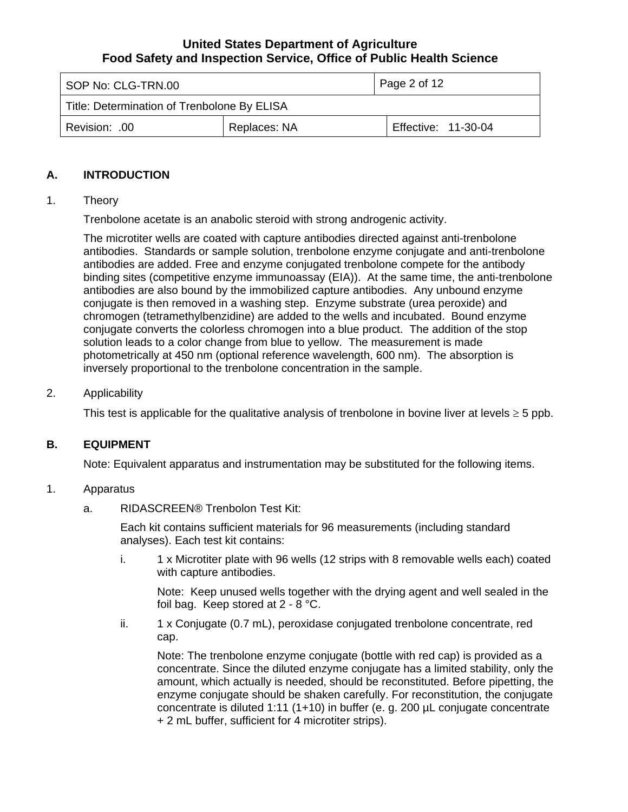<span id="page-1-0"></span>

| SOP No: CLG-TRN.00                          |              | Page 2 of 12        |
|---------------------------------------------|--------------|---------------------|
| Title: Determination of Trenbolone By ELISA |              |                     |
| Revision: .00                               | Replaces: NA | Effective: 11-30-04 |

### **A. INTRODUCTION**

#### 1. Theory

Trenbolone acetate is an anabolic steroid with strong androgenic activity.

The microtiter wells are coated with capture antibodies directed against anti-trenbolone antibodies. Standards or sample solution, trenbolone enzyme conjugate and anti-trenbolone antibodies are added. Free and enzyme conjugated trenbolone compete for the antibody binding sites (competitive enzyme immunoassay (EIA)). At the same time, the anti-trenbolone antibodies are also bound by the immobilized capture antibodies. Any unbound enzyme conjugate is then removed in a washing step. Enzyme substrate (urea peroxide) and chromogen (tetramethylbenzidine) are added to the wells and incubated. Bound enzyme conjugate converts the colorless chromogen into a blue product. The addition of the stop solution leads to a color change from blue to yellow. The measurement is made photometrically at 450 nm (optional reference wavelength, 600 nm). The absorption is inversely proportional to the trenbolone concentration in the sample.

#### 2. Applicability

This test is applicable for the qualitative analysis of trenbolone in bovine liver at levels  $\geq$  5 ppb.

### **B. EQUIPMENT**

Note: Equivalent apparatus and instrumentation may be substituted for the following items.

#### 1. Apparatus

a. RIDASCREEN® Trenbolon Test Kit:

Each kit contains sufficient materials for 96 measurements (including standard analyses). Each test kit contains:

i. 1 x Microtiter plate with 96 wells (12 strips with 8 removable wells each) coated with capture antibodies.

Note: Keep unused wells together with the drying agent and well sealed in the foil bag. Keep stored at 2 - 8 °C.

ii. 1 x Conjugate (0.7 mL), peroxidase conjugated trenbolone concentrate, red cap.

Note: The trenbolone enzyme conjugate (bottle with red cap) is provided as a concentrate. Since the diluted enzyme conjugate has a limited stability, only the amount, which actually is needed, should be reconstituted. Before pipetting, the enzyme conjugate should be shaken carefully. For reconstitution, the conjugate concentrate is diluted 1:11 (1+10) in buffer (e. g. 200 µL conjugate concentrate + 2 mL buffer, sufficient for 4 microtiter strips).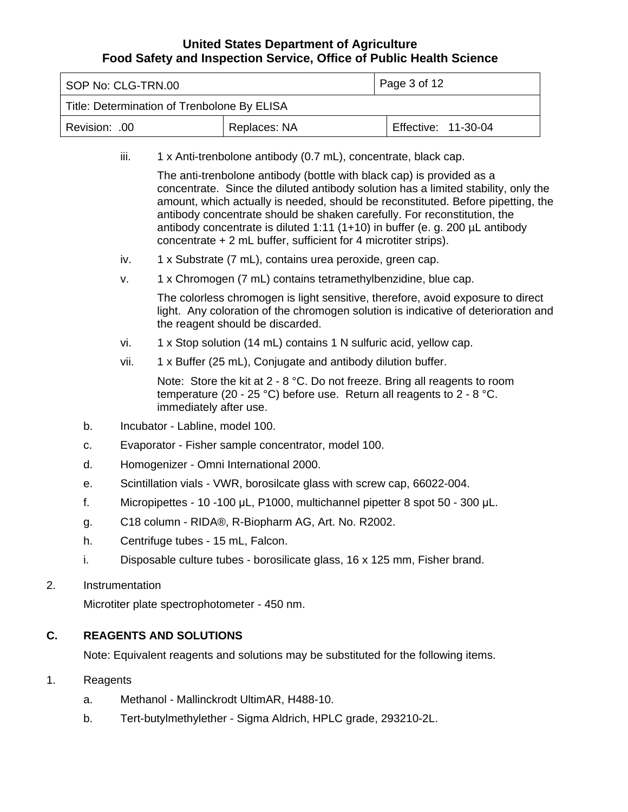<span id="page-2-0"></span>

|                 | Page 3 of 12<br>SOP No: CLG-TRN.00                                           |                                                                                                                                                                                                           |                                                                                                                                                                                                                        |                                                                                                                                                                                                                                                             |  |
|-----------------|------------------------------------------------------------------------------|-----------------------------------------------------------------------------------------------------------------------------------------------------------------------------------------------------------|------------------------------------------------------------------------------------------------------------------------------------------------------------------------------------------------------------------------|-------------------------------------------------------------------------------------------------------------------------------------------------------------------------------------------------------------------------------------------------------------|--|
|                 |                                                                              | Title: Determination of Trenbolone By ELISA                                                                                                                                                               |                                                                                                                                                                                                                        |                                                                                                                                                                                                                                                             |  |
| Revision: .00   |                                                                              |                                                                                                                                                                                                           | Replaces: NA                                                                                                                                                                                                           | Effective: 11-30-04                                                                                                                                                                                                                                         |  |
|                 | iii.                                                                         |                                                                                                                                                                                                           | 1 x Anti-trenbolone antibody (0.7 mL), concentrate, black cap.                                                                                                                                                         |                                                                                                                                                                                                                                                             |  |
|                 |                                                                              |                                                                                                                                                                                                           | The anti-trenbolone antibody (bottle with black cap) is provided as a<br>antibody concentrate should be shaken carefully. For reconstitution, the<br>concentrate $+ 2$ mL buffer, sufficient for 4 microtiter strips). | concentrate. Since the diluted antibody solution has a limited stability, only the<br>amount, which actually is needed, should be reconstituted. Before pipetting, the<br>antibody concentrate is diluted 1:11 (1+10) in buffer (e. g. 200 $\mu$ L antibody |  |
|                 | iv.                                                                          |                                                                                                                                                                                                           | 1 x Substrate (7 mL), contains urea peroxide, green cap.                                                                                                                                                               |                                                                                                                                                                                                                                                             |  |
|                 | v.                                                                           |                                                                                                                                                                                                           | 1 x Chromogen (7 mL) contains tetramethylbenzidine, blue cap.                                                                                                                                                          |                                                                                                                                                                                                                                                             |  |
|                 |                                                                              | The colorless chromogen is light sensitive, therefore, avoid exposure to direct<br>light. Any coloration of the chromogen solution is indicative of deterioration and<br>the reagent should be discarded. |                                                                                                                                                                                                                        |                                                                                                                                                                                                                                                             |  |
|                 | vi.                                                                          |                                                                                                                                                                                                           | 1 x Stop solution (14 mL) contains 1 N sulfuric acid, yellow cap.                                                                                                                                                      |                                                                                                                                                                                                                                                             |  |
|                 | vii.                                                                         |                                                                                                                                                                                                           | 1 x Buffer (25 mL), Conjugate and antibody dilution buffer.                                                                                                                                                            |                                                                                                                                                                                                                                                             |  |
|                 |                                                                              | immediately after use.                                                                                                                                                                                    | Note: Store the kit at $2 - 8$ °C. Do not freeze. Bring all reagents to room<br>temperature (20 - 25 °C) before use. Return all reagents to $2 - 8$ °C.                                                                |                                                                                                                                                                                                                                                             |  |
| b.              |                                                                              | Incubator - Labline, model 100.                                                                                                                                                                           |                                                                                                                                                                                                                        |                                                                                                                                                                                                                                                             |  |
| c.              |                                                                              | Evaporator - Fisher sample concentrator, model 100.                                                                                                                                                       |                                                                                                                                                                                                                        |                                                                                                                                                                                                                                                             |  |
| d.              | Homogenizer - Omni International 2000.                                       |                                                                                                                                                                                                           |                                                                                                                                                                                                                        |                                                                                                                                                                                                                                                             |  |
| е.              | Scintillation vials - VWR, borosilcate glass with screw cap, 66022-004.      |                                                                                                                                                                                                           |                                                                                                                                                                                                                        |                                                                                                                                                                                                                                                             |  |
| f.              | Micropipettes - 10 -100 µL, P1000, multichannel pipetter 8 spot 50 - 300 µL. |                                                                                                                                                                                                           |                                                                                                                                                                                                                        |                                                                                                                                                                                                                                                             |  |
| g.              | C18 column - RIDA®, R-Biopharm AG, Art. No. R2002.                           |                                                                                                                                                                                                           |                                                                                                                                                                                                                        |                                                                                                                                                                                                                                                             |  |
| h.              | Centrifuge tubes - 15 mL, Falcon.                                            |                                                                                                                                                                                                           |                                                                                                                                                                                                                        |                                                                                                                                                                                                                                                             |  |
| i.              | Disposable culture tubes - borosilicate glass, 16 x 125 mm, Fisher brand.    |                                                                                                                                                                                                           |                                                                                                                                                                                                                        |                                                                                                                                                                                                                                                             |  |
| Instrumentation |                                                                              |                                                                                                                                                                                                           |                                                                                                                                                                                                                        |                                                                                                                                                                                                                                                             |  |
|                 |                                                                              | Microtiter plate spectrophotometer - 450 nm.                                                                                                                                                              |                                                                                                                                                                                                                        |                                                                                                                                                                                                                                                             |  |
|                 |                                                                              | <b>REAGENTS AND SOLUTIONS</b>                                                                                                                                                                             |                                                                                                                                                                                                                        |                                                                                                                                                                                                                                                             |  |
|                 |                                                                              |                                                                                                                                                                                                           | Note: Equivalent reagents and solutions may be substituted for the following items.                                                                                                                                    |                                                                                                                                                                                                                                                             |  |
| Reagents        |                                                                              |                                                                                                                                                                                                           |                                                                                                                                                                                                                        |                                                                                                                                                                                                                                                             |  |
| a.              |                                                                              |                                                                                                                                                                                                           | Methanol - Mallinckrodt UltimAR, H488-10.                                                                                                                                                                              |                                                                                                                                                                                                                                                             |  |

b. Tert-butylmethylether - Sigma Aldrich, HPLC grade, 293210-2L.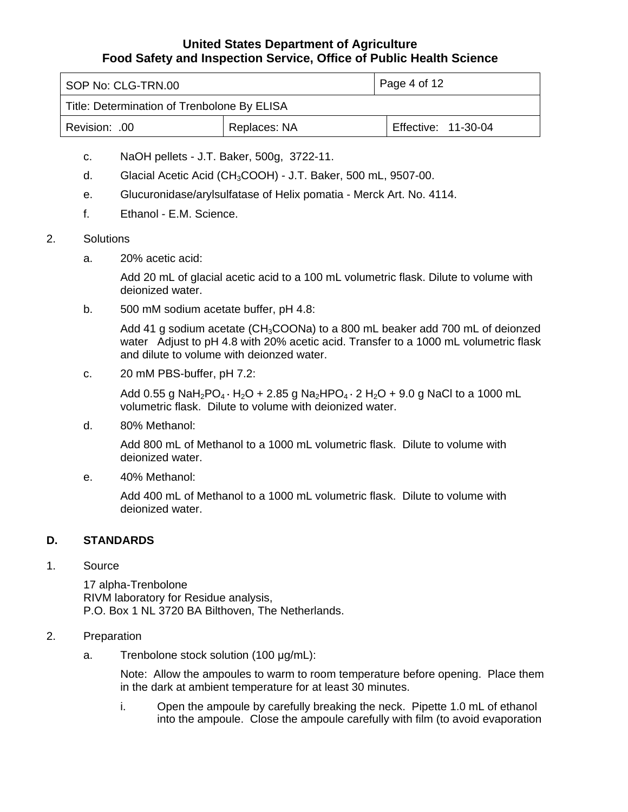<span id="page-3-0"></span>

| SOP No: CLG-TRN.00                          |              | Page 4 of 12        |
|---------------------------------------------|--------------|---------------------|
| Title: Determination of Trenbolone By ELISA |              |                     |
| Revision: 00                                | Replaces: NA | Effective: 11-30-04 |

- c. NaOH pellets J.T. Baker, 500g, 3722-11.
- d. Glacial Acetic Acid (CH3COOH) J.T. Baker, 500 mL, 9507-00.
- e. Glucuronidase/arylsulfatase of Helix pomatia Merck Art. No. 4114.
- f. Ethanol E.M. Science.
- 2. Solutions
	- a. 20% acetic acid:

Add 20 mL of glacial acetic acid to a 100 mL volumetric flask. Dilute to volume with deionized water.

b. 500 mM sodium acetate buffer, pH 4.8:

Add 41 g sodium acetate (CH<sub>3</sub>COONa) to a 800 mL beaker add 700 mL of deionzed water Adjust to pH 4.8 with 20% acetic acid. Transfer to a 1000 mL volumetric flask and dilute to volume with deionzed water.

c. 20 mM PBS-buffer, pH 7.2:

Add 0.55 g NaH<sub>2</sub>PO<sub>4</sub> ⋅ H<sub>2</sub>O + 2.85 g Na<sub>2</sub>HPO<sub>4</sub> ⋅ 2 H<sub>2</sub>O + 9.0 g NaCl to a 1000 mL volumetric flask. Dilute to volume with deionized water.

d. 80% Methanol:

Add 800 mL of Methanol to a 1000 mL volumetric flask. Dilute to volume with deionized water.

e. 40% Methanol:

Add 400 mL of Methanol to a 1000 mL volumetric flask. Dilute to volume with deionized water.

# **D. STANDARDS**

#### 1. Source

17 alpha-Trenbolone RIVM laboratory for Residue analysis, P.O. Box 1 NL 3720 BA Bilthoven, The Netherlands.

#### 2. Preparation

a. Trenbolone stock solution (100 μg/mL):

Note: Allow the ampoules to warm to room temperature before opening. Place them in the dark at ambient temperature for at least 30 minutes.

i. Open the ampoule by carefully breaking the neck. Pipette 1.0 mL of ethanol into the ampoule. Close the ampoule carefully with film (to avoid evaporation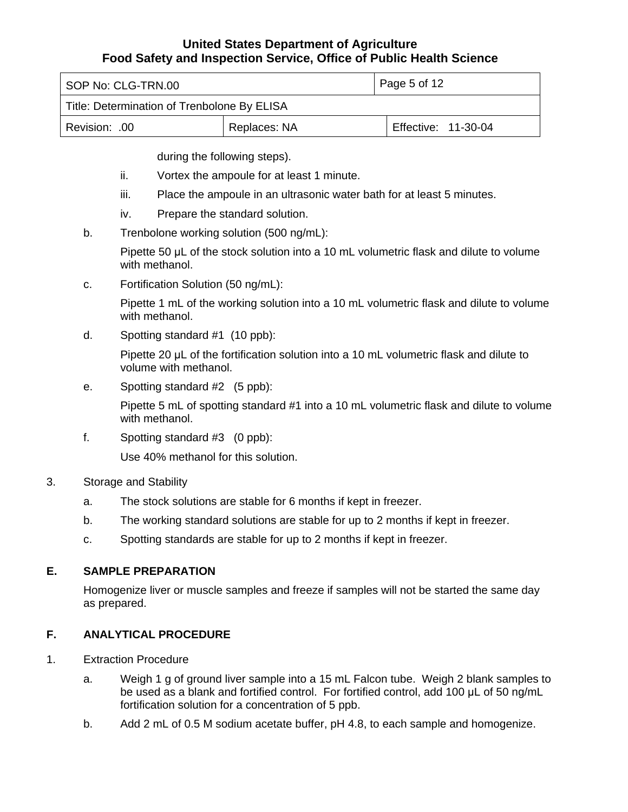<span id="page-4-0"></span>

| SOP No: CLG-TRN.00                          |              | Page 5 of 12        |
|---------------------------------------------|--------------|---------------------|
| Title: Determination of Trenbolone By ELISA |              |                     |
| Revision: .00                               | Replaces: NA | Effective: 11-30-04 |

during the following steps).

- ii. Vortex the ampoule for at least 1 minute.
- iii. Place the ampoule in an ultrasonic water bath for at least 5 minutes.
- iv. Prepare the standard solution.
- b. Trenbolone working solution (500 ng/mL):

Pipette 50 μL of the stock solution into a 10 mL volumetric flask and dilute to volume with methanol.

c. Fortification Solution (50 ng/mL):

Pipette 1 mL of the working solution into a 10 mL volumetric flask and dilute to volume with methanol.

d. Spotting standard #1 (10 ppb):

Pipette 20 μL of the fortification solution into a 10 mL volumetric flask and dilute to volume with methanol.

e. Spotting standard #2 (5 ppb):

Pipette 5 mL of spotting standard #1 into a 10 mL volumetric flask and dilute to volume with methanol.

f. Spotting standard #3 (0 ppb):

Use 40% methanol for this solution.

- 3. Storage and Stability
	- a. The stock solutions are stable for 6 months if kept in freezer.
	- b. The working standard solutions are stable for up to 2 months if kept in freezer.
	- c. Spotting standards are stable for up to 2 months if kept in freezer.

# **E. SAMPLE PREPARATION**

Homogenize liver or muscle samples and freeze if samples will not be started the same day as prepared.

# **F. ANALYTICAL PROCEDURE**

- 1. Extraction Procedure
	- a. Weigh 1 g of ground liver sample into a 15 mL Falcon tube. Weigh 2 blank samples to be used as a blank and fortified control. For fortified control, add 100 μL of 50 ng/mL fortification solution for a concentration of 5 ppb.
	- b. Add 2 mL of 0.5 M sodium acetate buffer, pH 4.8, to each sample and homogenize.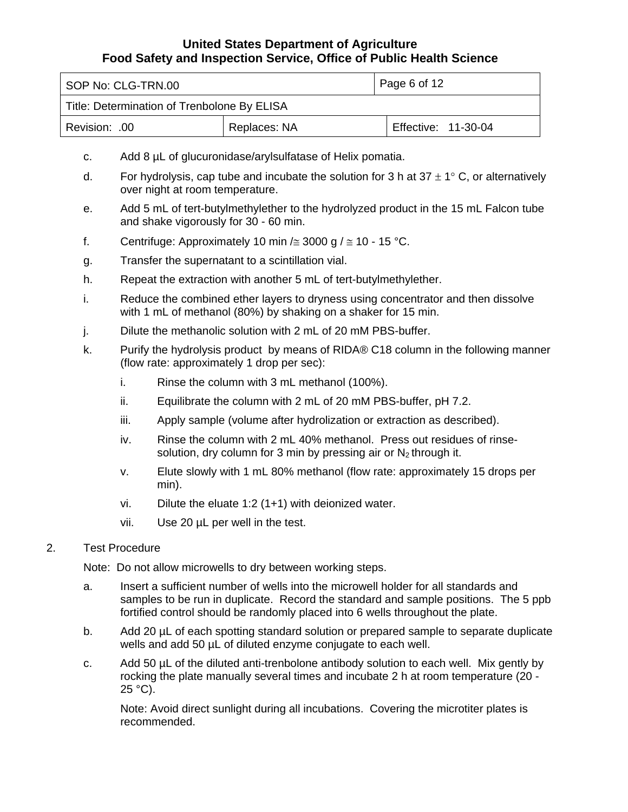| SOP No: CLG-TRN.00                          |              | Page 6 of 12        |
|---------------------------------------------|--------------|---------------------|
| Title: Determination of Trenbolone By ELISA |              |                     |
| .00. :Revision                              | Replaces: NA | Effective: 11-30-04 |

- c. Add 8 µL of glucuronidase/arylsulfatase of Helix pomatia.
- d. For hydrolysis, cap tube and incubate the solution for 3 h at  $37 \pm 1^{\circ}$  C, or alternatively over night at room temperature.
- e. Add 5 mL of tert-butylmethylether to the hydrolyzed product in the 15 mL Falcon tube and shake vigorously for 30 - 60 min.
- f. Centrifuge: Approximately 10 min / $\approx$  3000 g /  $\approx$  10 15 °C.
- g. Transfer the supernatant to a scintillation vial.
- h. Repeat the extraction with another 5 mL of tert-butylmethylether.
- i. Reduce the combined ether layers to dryness using concentrator and then dissolve with 1 mL of methanol (80%) by shaking on a shaker for 15 min.
- j. Dilute the methanolic solution with 2 mL of 20 mM PBS-buffer.
- k. Purify the hydrolysis product by means of RIDA® C18 column in the following manner (flow rate: approximately 1 drop per sec):
	- i. Rinse the column with 3 mL methanol (100%).
	- ii. Equilibrate the column with 2 mL of 20 mM PBS-buffer, pH 7.2.
	- iii. Apply sample (volume after hydrolization or extraction as described).
	- iv. Rinse the column with 2 mL 40% methanol. Press out residues of rinsesolution, dry column for 3 min by pressing air or  $N_2$  through it.
	- v. Elute slowly with 1 mL 80% methanol (flow rate: approximately 15 drops per min).
	- vi. Dilute the eluate 1:2 (1+1) with deionized water.
	- vii. Use 20 µL per well in the test.

### 2. Test Procedure

Note: Do not allow microwells to dry between working steps.

- a. Insert a sufficient number of wells into the microwell holder for all standards and samples to be run in duplicate. Record the standard and sample positions. The 5 ppb fortified control should be randomly placed into 6 wells throughout the plate.
- b. Add 20 µL of each spotting standard solution or prepared sample to separate duplicate wells and add 50  $\mu$ L of diluted enzyme conjugate to each well.
- c. Add 50 µL of the diluted anti-trenbolone antibody solution to each well. Mix gently by rocking the plate manually several times and incubate 2 h at room temperature (20 -  $25 °C$ ).

Note: Avoid direct sunlight during all incubations. Covering the microtiter plates is recommended.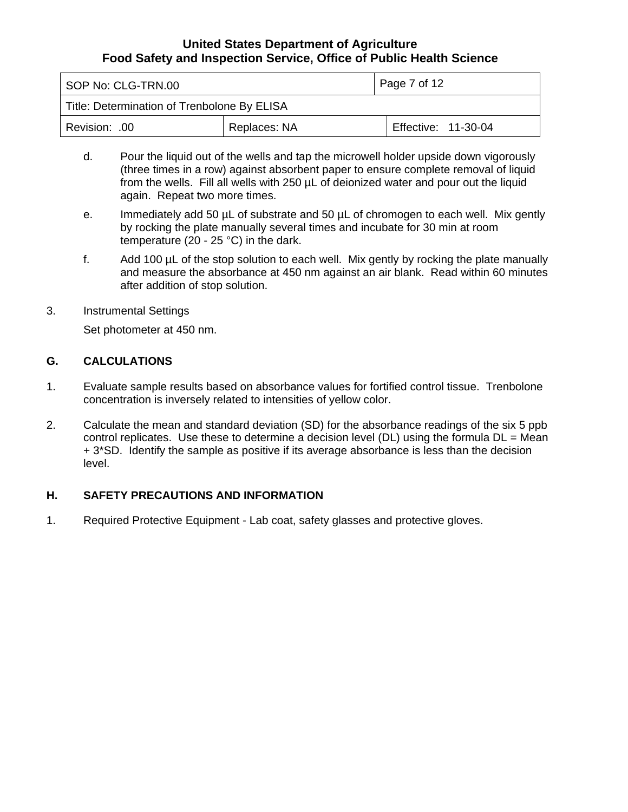<span id="page-6-0"></span>

| SOP No: CLG-TRN.00                          |              | Page 7 of 12        |
|---------------------------------------------|--------------|---------------------|
| Title: Determination of Trenbolone By ELISA |              |                     |
| Revision: .00                               | Replaces: NA | Effective: 11-30-04 |

- d. Pour the liquid out of the wells and tap the microwell holder upside down vigorously (three times in a row) against absorbent paper to ensure complete removal of liquid from the wells. Fill all wells with 250 µL of deionized water and pour out the liquid again. Repeat two more times.
- e. Immediately add 50 µL of substrate and 50 µL of chromogen to each well. Mix gently by rocking the plate manually several times and incubate for 30 min at room temperature (20 - 25 °C) in the dark.
- f. Add 100 µL of the stop solution to each well. Mix gently by rocking the plate manually and measure the absorbance at 450 nm against an air blank. Read within 60 minutes after addition of stop solution.
- 3. Instrumental Settings

Set photometer at 450 nm.

# **G. CALCULATIONS**

- 1. Evaluate sample results based on absorbance values for fortified control tissue. Trenbolone concentration is inversely related to intensities of yellow color.
- 2. Calculate the mean and standard deviation (SD) for the absorbance readings of the six 5 ppb control replicates. Use these to determine a decision level (DL) using the formula DL = Mean + 3\*SD. Identify the sample as positive if its average absorbance is less than the decision level.

# **H. SAFETY PRECAUTIONS AND INFORMATION**

1. Required Protective Equipment - Lab coat, safety glasses and protective gloves.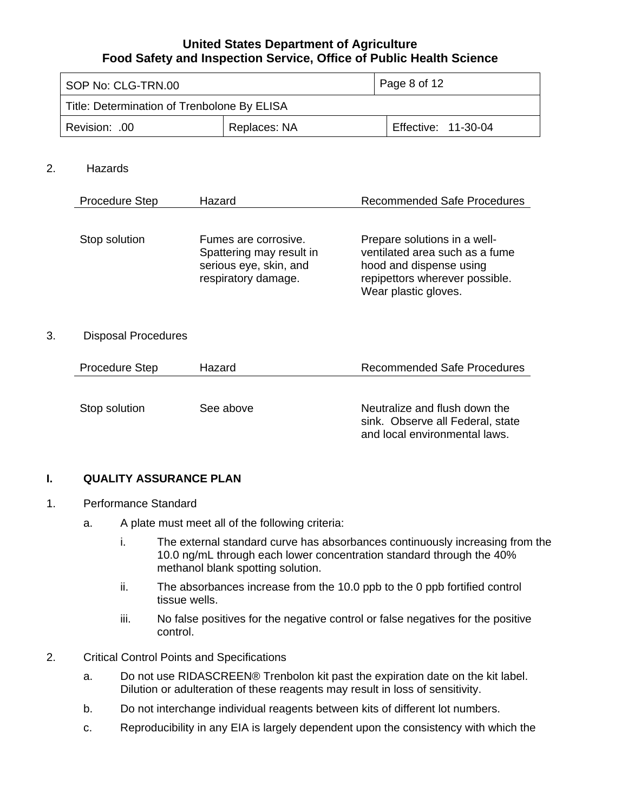<span id="page-7-0"></span>

| SOP No: CLG-TRN.00                          |              | Page 8 of 12        |
|---------------------------------------------|--------------|---------------------|
| Title: Determination of Trenbolone By ELISA |              |                     |
| Revision: .00                               | Replaces: NA | Effective: 11-30-04 |

### 2. Hazards

| <b>Procedure Step</b> | Hazard                                                                                            | <b>Recommended Safe Procedures</b>                                                                                                                  |
|-----------------------|---------------------------------------------------------------------------------------------------|-----------------------------------------------------------------------------------------------------------------------------------------------------|
| Stop solution         | Fumes are corrosive.<br>Spattering may result in<br>serious eye, skin, and<br>respiratory damage. | Prepare solutions in a well-<br>ventilated area such as a fume<br>hood and dispense using<br>repipettors wherever possible.<br>Wear plastic gloves. |

#### 3. Disposal Procedures

| <b>Procedure Step</b> | Hazard    | <b>Recommended Safe Procedures</b>                                                                 |
|-----------------------|-----------|----------------------------------------------------------------------------------------------------|
| Stop solution         | See above | Neutralize and flush down the<br>sink. Observe all Federal, state<br>and local environmental laws. |

### **I. QUALITY ASSURANCE PLAN**

- 1. Performance Standard
	- a. A plate must meet all of the following criteria:
		- i. The external standard curve has absorbances continuously increasing from the 10.0 ng/mL through each lower concentration standard through the 40% methanol blank spotting solution.
		- ii. The absorbances increase from the 10.0 ppb to the 0 ppb fortified control tissue wells.
		- iii. No false positives for the negative control or false negatives for the positive control.
- 2. Critical Control Points and Specifications
	- a. Do not use RIDASCREEN® Trenbolon kit past the expiration date on the kit label. Dilution or adulteration of these reagents may result in loss of sensitivity.
	- b. Do not interchange individual reagents between kits of different lot numbers.
	- c. Reproducibility in any EIA is largely dependent upon the consistency with which the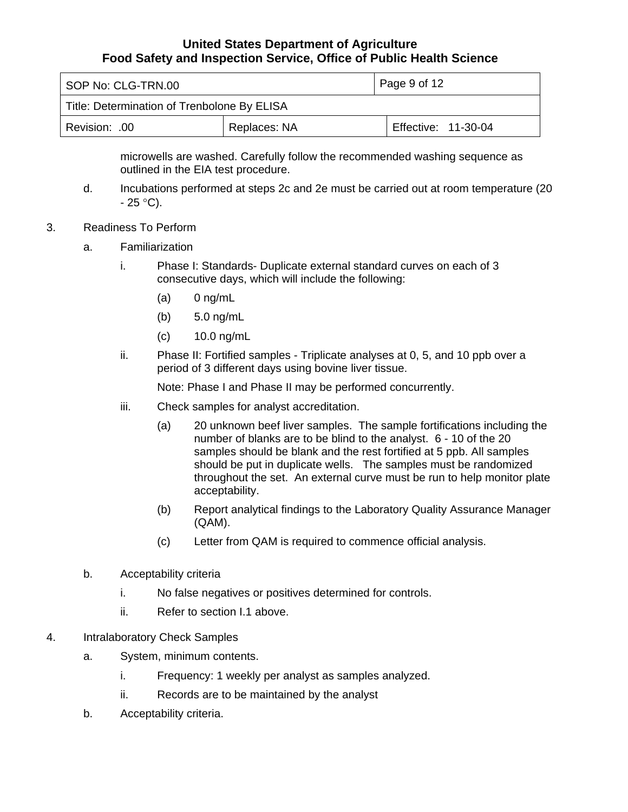| SOP No: CLG-TRN.00                          |              | Page 9 of 12        |
|---------------------------------------------|--------------|---------------------|
| Title: Determination of Trenbolone By ELISA |              |                     |
| Revision: .00                               | Replaces: NA | Effective: 11-30-04 |

microwells are washed. Carefully follow the recommended washing sequence as outlined in the EIA test procedure.

- d. Incubations performed at steps 2c and 2e must be carried out at room temperature (20  $- 25 °C$ ).
- 3. Readiness To Perform
	- a. Familiarization
		- i. Phase I: Standards- Duplicate external standard curves on each of 3 consecutive days, which will include the following:
			- $(a)$  0 ng/mL
			- (b) 5.0 ng/mL
			- (c) 10.0 ng/mL
		- ii. Phase II: Fortified samples Triplicate analyses at 0, 5, and 10 ppb over a period of 3 different days using bovine liver tissue.

Note: Phase I and Phase II may be performed concurrently.

- iii. Check samples for analyst accreditation.
	- (a) 20 unknown beef liver samples. The sample fortifications including the number of blanks are to be blind to the analyst. 6 - 10 of the 20 samples should be blank and the rest fortified at 5 ppb. All samples should be put in duplicate wells. The samples must be randomized throughout the set. An external curve must be run to help monitor plate acceptability.
	- (b) Report analytical findings to the Laboratory Quality Assurance Manager (QAM).
	- (c) Letter from QAM is required to commence official analysis.
- b. Acceptability criteria
	- i. No false negatives or positives determined for controls.
	- ii. Refer to section I.1 above.
- 4. Intralaboratory Check Samples
	- a. System, minimum contents.
		- i. Frequency: 1 weekly per analyst as samples analyzed.
		- ii. Records are to be maintained by the analyst
	- b. Acceptability criteria.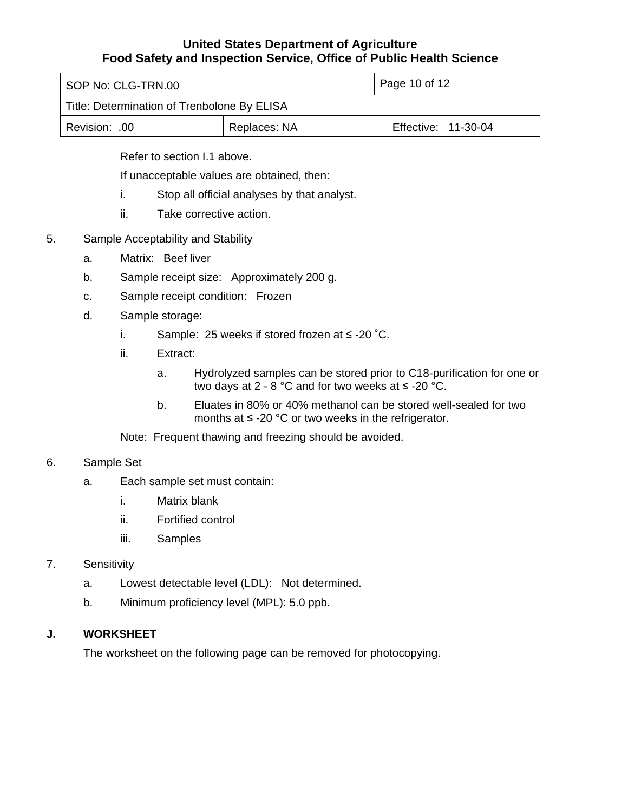<span id="page-9-0"></span>

| SOP No: CLG-TRN.00                          |              | Page 10 of 12       |  |
|---------------------------------------------|--------------|---------------------|--|
| Title: Determination of Trenbolone By ELISA |              |                     |  |
| Revision: .00                               | Replaces: NA | Effective: 11-30-04 |  |

Refer to section I.1 above.

If unacceptable values are obtained, then:

- i. Stop all official analyses by that analyst.
- ii. Take corrective action.
- 5. Sample Acceptability and Stability
	- a. Matrix: Beef liver
	- b. Sample receipt size: Approximately 200 g.
	- c. Sample receipt condition: Frozen
	- d. Sample storage:
		- i. Sample: 25 weeks if stored frozen at ≤ -20 ˚C.
		- ii. Extract:
			- a. Hydrolyzed samples can be stored prior to C18-purification for one or two days at  $2 - 8$  °C and for two weeks at  $\leq$  -20 °C.
			- b. Eluates in 80% or 40% methanol can be stored well-sealed for two months at  $\leq$  -20 °C or two weeks in the refrigerator.

Note: Frequent thawing and freezing should be avoided.

### 6. Sample Set

- a. Each sample set must contain:
	- i. Matrix blank
	- ii. Fortified control
	- iii. Samples

### 7. Sensitivity

- a. Lowest detectable level (LDL): Not determined.
- b. Minimum proficiency level (MPL): 5.0 ppb.

### **J. WORKSHEET**

The worksheet on the following page can be removed for photocopying.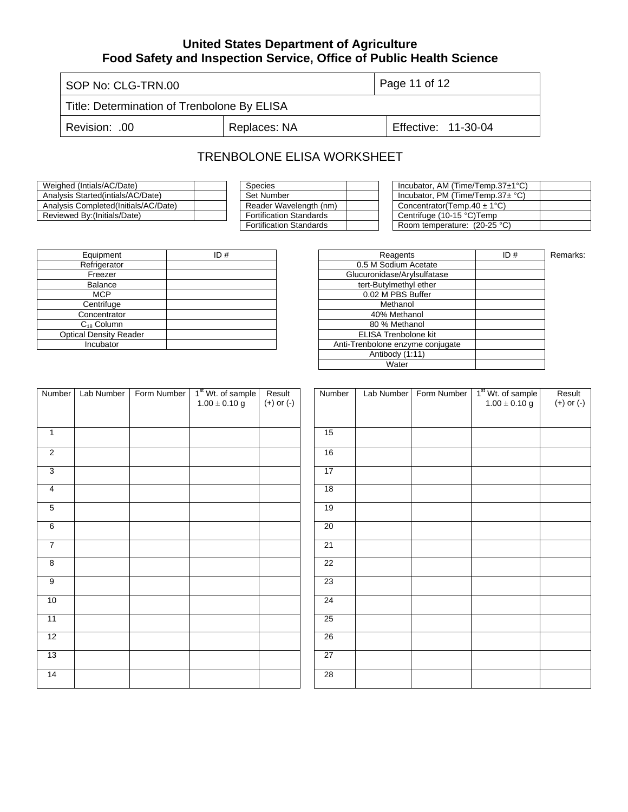SOP No: CLG-TRN.00 Page 11 of 12

Title: Determination of Trenbolone By ELISA

Revision: .00 | Replaces: NA | Effective: 11-30-04

# TRENBOLONE ELISA WORKSHEET

| Weighed (Intials/AC/Date)             | Species                        |  | Incubator, AM (Time/Temp.37 $\pm$ 1°C) |
|---------------------------------------|--------------------------------|--|----------------------------------------|
| Analysis Started (intials/AC/Date)    | Set Number                     |  | Incubator, PM (Time/Temp.37 $\pm$ °C)  |
| Analysis Completed (Initials/AC/Date) | Reader Wavelength (nm)         |  | Concentrator(Temp.40 $\pm$ 1°C)        |
| Reviewed By: (Initials/Date)          | <b>Fortification Standards</b> |  | Centrifuge (10-15 °C)Temp              |
|                                       |                                |  |                                        |

| <b>Species</b>                 |  |
|--------------------------------|--|
| Set Number                     |  |
| Reader Wavelength (nm)         |  |
| <b>Fortification Standards</b> |  |
| <b>Fortification Standards</b> |  |

| Species                        | Incubator, AM (Time/Temp.37±1°C)      |  |
|--------------------------------|---------------------------------------|--|
| Set Number                     | Incubator, PM (Time/Temp.37 $\pm$ °C) |  |
| Reader Wavelength (nm)         | Concentrator(Temp.40 $\pm$ 1°C)       |  |
| Fortification Standards        | Centrifuge (10-15 °C)Temp             |  |
| <b>Fortification Standards</b> | Room temperature: (20-25 °C)          |  |

| Equipment                     | ID# | Reagents                         |
|-------------------------------|-----|----------------------------------|
| Refrigerator                  |     | 0.5 M Sodium Acetate             |
| Freezer                       |     | Glucuronidase/Arylsulfatase      |
| <b>Balance</b>                |     | tert-Butylmethyl ether           |
| MCP                           |     | 0.02 M PBS Buffer                |
| Centrifuge                    |     | Methanol                         |
| Concentrator                  |     | 40% Methanol                     |
| $C_{18}$ Column               |     | 80 % Methanol                    |
| <b>Optical Density Reader</b> |     | <b>ELISA Trenbolone kit</b>      |
| Incubator                     |     | Anti-Trenbolone enzyme conjugate |
|                               |     |                                  |

| ID# | Reagents                         | ID# | Remarks: |
|-----|----------------------------------|-----|----------|
|     | 0.5 M Sodium Acetate             |     |          |
|     | Glucuronidase/Arylsulfatase      |     |          |
|     | tert-Butylmethyl ether           |     |          |
|     | 0.02 M PBS Buffer                |     |          |
|     | Methanol                         |     |          |
|     | 40% Methanol                     |     |          |
|     | 80 % Methanol                    |     |          |
|     | <b>ELISA Trenbolone kit</b>      |     |          |
|     | Anti-Trenbolone enzyme conjugate |     |          |
|     | Antibody (1:11)                  |     |          |
|     | Water                            |     |          |
|     |                                  |     |          |

| Number          | Lab Number | Form Number | 1 <sup>st</sup> Wt. of sample<br>$1.00 \pm 0.10$ g | Result<br>$(+)$ or $(-)$ | Num             |
|-----------------|------------|-------------|----------------------------------------------------|--------------------------|-----------------|
|                 |            |             |                                                    |                          |                 |
| $\overline{1}$  |            |             |                                                    |                          | 15              |
| $\overline{2}$  |            |             |                                                    |                          | 16              |
| 3               |            |             |                                                    |                          | 17              |
| $\overline{4}$  |            |             |                                                    |                          | 18              |
| $\overline{5}$  |            |             |                                                    |                          | 19              |
| $6\overline{6}$ |            |             |                                                    |                          | $\overline{20}$ |
| 7               |            |             |                                                    |                          | 21              |
| 8               |            |             |                                                    |                          | 22              |
| $\overline{9}$  |            |             |                                                    |                          | 23              |
| 10              |            |             |                                                    |                          | 24              |
| 11              |            |             |                                                    |                          | 25              |
| $\overline{12}$ |            |             |                                                    |                          | 26              |
| 13              |            |             |                                                    |                          | 27              |
| 14              |            |             |                                                    |                          | 28              |

| Number          | Lab Number | Form Number | 1 <sup>st</sup> Wt. of sample<br>$1.00 \pm 0.10$ g | Result<br>$(+)$ or $(-)$ |
|-----------------|------------|-------------|----------------------------------------------------|--------------------------|
|                 |            |             |                                                    |                          |
| 15              |            |             |                                                    |                          |
| 16              |            |             |                                                    |                          |
| 17              |            |             |                                                    |                          |
| $\overline{18}$ |            |             |                                                    |                          |
| 19              |            |             |                                                    |                          |
| 20              |            |             |                                                    |                          |
| 21              |            |             |                                                    |                          |
| $\overline{22}$ |            |             |                                                    |                          |
| 23              |            |             |                                                    |                          |
| 24              |            |             |                                                    |                          |
| 25              |            |             |                                                    |                          |
| 26              |            |             |                                                    |                          |
| $\overline{27}$ |            |             |                                                    |                          |
| 28              |            |             |                                                    |                          |